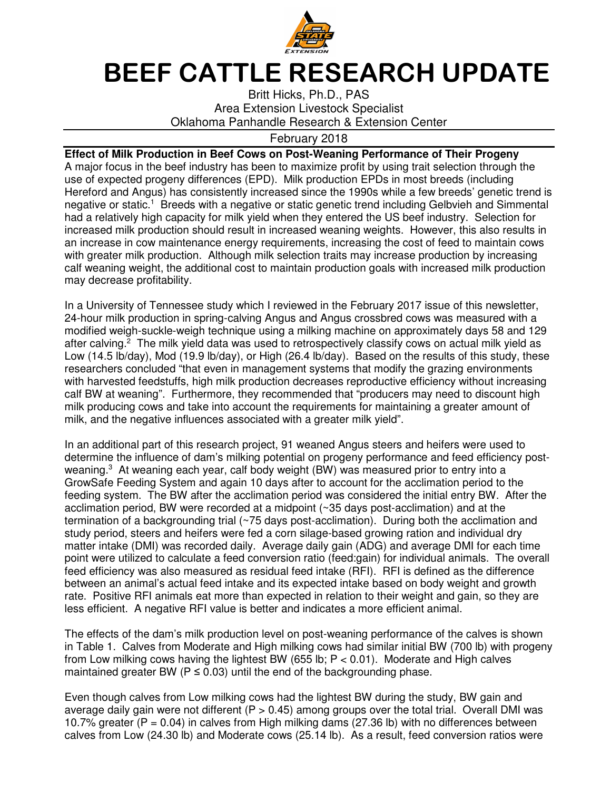

## **BEEF CATTLE RESEARCH UPDATE**

Britt Hicks, Ph.D., PAS Area Extension Livestock Specialist Oklahoma Panhandle Research & Extension Center

## February 2018

**Effect of Milk Production in Beef Cows on Post-Weaning Performance of Their Progeny**  A major focus in the beef industry has been to maximize profit by using trait selection through the use of expected progeny differences (EPD). Milk production EPDs in most breeds (including Hereford and Angus) has consistently increased since the 1990s while a few breeds' genetic trend is negative or static.<sup>1</sup> Breeds with a negative or static genetic trend including Gelbvieh and Simmental had a relatively high capacity for milk yield when they entered the US beef industry. Selection for increased milk production should result in increased weaning weights. However, this also results in an increase in cow maintenance energy requirements, increasing the cost of feed to maintain cows with greater milk production. Although milk selection traits may increase production by increasing calf weaning weight, the additional cost to maintain production goals with increased milk production may decrease profitability.

In a University of Tennessee study which I reviewed in the February 2017 issue of this newsletter, 24-hour milk production in spring-calving Angus and Angus crossbred cows was measured with a modified weigh-suckle-weigh technique using a milking machine on approximately days 58 and 129 after calving.<sup>2</sup> The milk yield data was used to retrospectively classify cows on actual milk yield as Low (14.5 lb/day), Mod (19.9 lb/day), or High (26.4 lb/day). Based on the results of this study, these researchers concluded "that even in management systems that modify the grazing environments with harvested feedstuffs, high milk production decreases reproductive efficiency without increasing calf BW at weaning". Furthermore, they recommended that "producers may need to discount high milk producing cows and take into account the requirements for maintaining a greater amount of milk, and the negative influences associated with a greater milk yield".

In an additional part of this research project, 91 weaned Angus steers and heifers were used to determine the influence of dam's milking potential on progeny performance and feed efficiency postweaning.<sup>3</sup> At weaning each year, calf body weight (BW) was measured prior to entry into a GrowSafe Feeding System and again 10 days after to account for the acclimation period to the feeding system. The BW after the acclimation period was considered the initial entry BW. After the acclimation period, BW were recorded at a midpoint (~35 days post-acclimation) and at the termination of a backgrounding trial (~75 days post-acclimation). During both the acclimation and study period, steers and heifers were fed a corn silage-based growing ration and individual dry matter intake (DMI) was recorded daily. Average daily gain (ADG) and average DMI for each time point were utilized to calculate a feed conversion ratio (feed:gain) for individual animals. The overall feed efficiency was also measured as residual feed intake (RFI). RFI is defined as the difference between an animal's actual feed intake and its expected intake based on body weight and growth rate. Positive RFI animals eat more than expected in relation to their weight and gain, so they are less efficient. A negative RFI value is better and indicates a more efficient animal.

The effects of the dam's milk production level on post-weaning performance of the calves is shown in Table 1. Calves from Moderate and High milking cows had similar initial BW (700 lb) with progeny from Low milking cows having the lightest BW (655 lb;  $P < 0.01$ ). Moderate and High calves maintained greater BW ( $P \le 0.03$ ) until the end of the backgrounding phase.

Even though calves from Low milking cows had the lightest BW during the study, BW gain and average daily gain were not different  $(P > 0.45)$  among groups over the total trial. Overall DMI was 10.7% greater ( $P = 0.04$ ) in calves from High milking dams (27.36 lb) with no differences between calves from Low (24.30 lb) and Moderate cows (25.14 lb). As a result, feed conversion ratios were